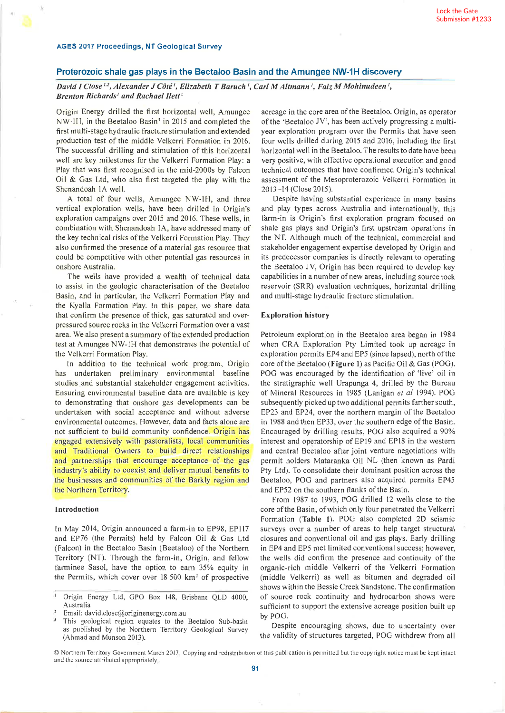## Proterozoic shale gas plays in the Beetaloo Basin and the Amungee NW-1H discovery

David I Close<sup>1,2</sup>, Alexander J Côté<sup>t</sup>, Elizabeth T Baruch<sup>t</sup>, Carl M Altmann<sup>t</sup>, Faiz M Mohinudeen<sup>t</sup>, Brenton Richards' and Rachael Ilett<sup>1</sup>

Origin Energy drilled the first horizontal well, Amungee NW-1H, in the Beetaloo Basin<sup>3</sup> in 2015 and completed the first multi-stage hydraulic fracture stimulation and extended production test of the middle Velkerri Formation in 2016. The successful drilling and stimulation of this horizontal well are key milestones for the Velkerri Formation Play: a Play that was first recognised in the mid-2000s by Falcon Oil & Gas Ltd, who also first targeted the play with the Shenandoah 1A well.

A total of four wells, Amungee NW-IH, and three vertical exploration wells, have been drilled in Origin's exploration campaigns over 2015 and 2016. These wells, in combination with Shenandoah lA, have addressed many of the key technical risks of the Velkerri Formation Play. They also confirmed the presence of a material gas resource that could be competitive with other potential gas resources in onshore Australia.

The wells have provided a wealth of technical data to assist in the geologic characterisation of the Beetaloo Basin, and in particular, the Velkerri Formation Play and the Kyalla Formation Play. In this paper, we share data that confirm the presence of thick, gas saturated and overpressured source rocks in the Velkerri Formation over a vast area. We also present a summary of the extended production test at Amungee NW-lH that demonstrates the potential of the Velkerri Formation Play.

In addition to the technical work program, Origin has undertaken preliminary environmental baseline studies and substantial stakeholder engagement activities. Ensuring environmental baseline data are available is key to demonstrating that onshore gas developments can be undertaken with social acceptance and without adverse environmental outcomes. However, data and facts alone are not sufficient to build communify confidence. Origin has engaged extensively with pastoralists, local communities and Traditional Owners to buitd direct relationships and partnerships that encourage acceptance of the gas industry's ability to coexist and deliver mutual benefits to the businesses and communities of the Barkly region and the Northern Territory.

### Introduction

tn May 2014, Origin announced a farm-in to EP98, EPllT and EP76 (the Permits) held by Falcon Oil & Cas Ltd (Falcon) in the Beetaloo Basin (Beetaloo) of the Northern Territory (NT). Through the farm-in, Origin, and fellow farminee Sasol, have the option to earn 35% equity in the Permits, which cover over  $18\,500\,$  km<sup>2</sup> of prospective acreage in the core area ofthe Beetaloo. Origin, as operator of the 'Beetaloo JV', has been actively progressing a multiyear exploration program over the Permits that have seen four wells drilled during 2015 and 2016, including the first horizontal well in the Beetaloo. The results to date have been very positive, with effective operational execution and good technical outcomes that have confirmed Origin's technical assessment of the Mesoproterozoic Velkerri Formation in 2013-14 (Close 2015).

Despite having substantial experience in many basins and play types across Australia and internationally, this farm-in is Origin's first exploration program focused on shale gas plays and Origin's first upstream operations in the NT. Although much of the technical, commercial and stakeholder engagement expertise developed by Origin and its predecessor companies is directly relevant to operating the Beetaloo JV, Origin has been required to develop key capabilities in a number ofnew areas, including source rock reservoir (SRR) evaluation techniques, horizontal drilling and multi-stage hydraulic fracture stimulation.

### Exploration history

Petroleum exploration in the Beetaloo area began in <sup>1984</sup> when CRA Exploration Pty Limited took up acreage in exploration permits EP4 and EP5 (since lapsed), north of the core ofthe Beetaloo (Figure l) as Pacific Oil & Gas (POG). POG was encouraged by the identification of 'live' oil in the stratigraphic well Urapunga 4, drilled by the Bureau of Mineral Resources in 1985 (Lanigan et al 1994). POC subsequently picked up two additional permits farther south.  $EP23$  and  $EP24$ , over the northern margin of the Beetaloo in 1988 and then EP33, over the southern edge of the Basin. Encouraged by drilling results, POG also acquired a 90% interest and operatorship of EP19 and EPlS in the western and central Beetaloo after joint venture negotiations with permit holders Mataranka Oil NL (then known as Pardi Pty Ltd). To consolidate their dominant position across the Beetaloo, POG and partners also acquired permits EP45 and EP52 on the southern flanks of the Basin.

From 1987 to 1993, POG drilled 12 wells close to the core ofthe Basin, ofwhich only four penetrated the Velkerri Formation (Table l). POG also completed 2D seismic surveys over a number of areas to help target structural closures and conventional oil and gas plays. Earty drilling in EP4 and EP5 met limited conventional success; however, the wells did confirm the presence and continuity of the organic-rich middle Velkerri of the Velkerri Formation (middle Velkerri) as well as bitumen and degraded oil shows within the Bessie Creek Sandstone. The confirmation of source rock continuity and hydrocarbon shows were sufficient to support the extensive acreage position built up by POG.

Despite encouraging shows, due to uncertainty over the validity of structures targeted, POG withdrew from all

Origin Energy Ltd, GPO Box 148, Brisbane QLD 4000,  $\mathbf{1}$ Australia

Email: david.close@originenergy.com.au

This geological region equates to the Beetaloo Sub-basin as published by the Northern Territory Ceological Survey (Ahmad and Munson 2013).

 $\oslash$  Northern Territory Government March 2017. Copying and redistribution of this publication is permitted but the copyright notice must be kept intact and the source attributed appropriately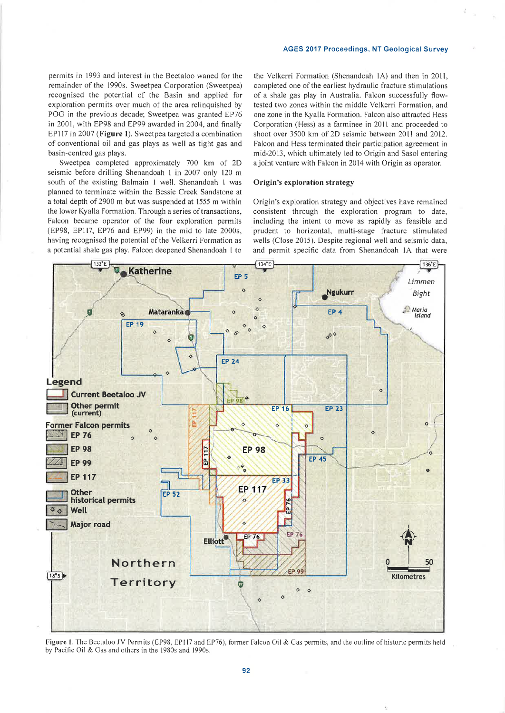permits in 1993 and interest in the Beetaloo waned for the remainder of the 1990s. Sweetpea Corporation (Sweetpea) recognised the potential of the Basin and applied for exploration permits over much of the area relinquished by POG in the previous decade; Sweetpea was granted EP76 in 2001, with EP98 and EP99 awarded in 2004, and finally 8P117 in 2007 (Figure l). Sweetpea targeted a combination of conventional oil and gas plays as well as tight gas and basin-centred gas plays.

Sweetpea completed approximately 700 km of 2D seismic before drilting Shenandoah I in 2007 only 120 <sup>m</sup> south of the existing Balmain I well. Shenandoah I was planned to terminate within the Bessie Creek Sandstone at a total depth of2900 m but was suspended at 1555 m within the lower Kyalla Formation. Through a series of transactions, Falcon became operator of the four exploration permits (EP98, EPl17, EP76 and EP99) in the mid to late 2000s, having recognised the potential of the Velkerri Formation as a potential shale gas play. Falcon deepened Shenandoah I to

the Velkerri Formation (Shenandoah lA) and then in 2011, completed one of the earliest hydraulic fracture stimulations of a shale gas play in Australia. Falcon successfully flowtested two zones within the middle Velkerri Formation, and one zone in the Kyalla Formation. Falcon also attracted Hess Corporation (Hess) as a farminee in 20lt and proceeded to shoot over 3500 km of 2D seismic between 2011 and 2012. Falcon and Hess terminated their participation agreement in mid-2013, which ultimately ted to Origin and Sasol entering a joint venture with Falcon in 2014 with Origin as operator.

# Origin's exploration strategy

Origin's exploration strategy and objectives have remained consistent through the exploration program to date, including the intent to move as rapidly as feasible and prudent to horizontal, multi-stage fracture stimulated wells (Close 2015). Despite regional well and seismic data, and permit specific data from Shenandoah 1A that were



Figure 1. The Beetaloo JV Permits (EP98, EP117 and EP76), former Falcon Oil & Gas permits, and the outline of historic permits held by Pacific Oil & Cas and others in the 1980s and 1990s.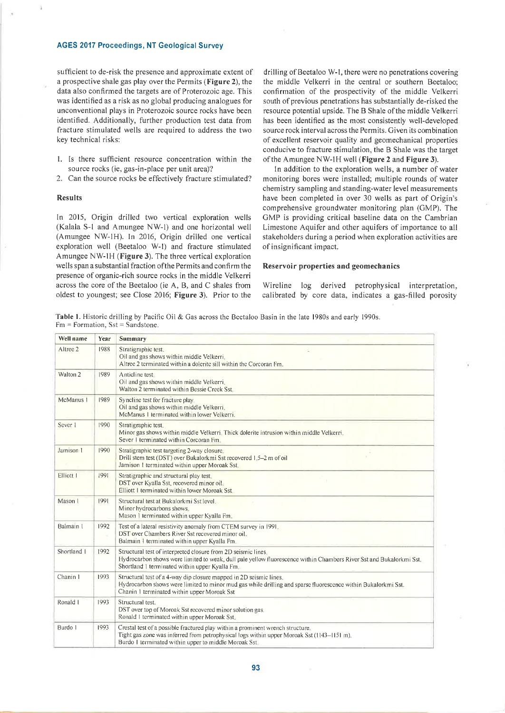sufficient to de-risk the presence and approximate extent of a prospective shale gas play over the Permits (Figure 2), the data also confirmed the targets are of Proterozoic age. This was identified as a risk as no global producing analogues for unconventional plays in Proterozoic source rocks have been identified. Additionally, further production test data from fracture stimulated wells are required to address the two key technical risks:

- l. Is there sufficient resource concentration within the source rocks (ie, gas-in-place per unit area)?
- 2. Can the source rocks be effectively fracture stimulated?

## Results

In 2015, Origin drilled two vertical exploration wells (Kalala S-l and Amungee NW-l) and one horizontal well (Amungee NV/-IH). ln 2016, Origin drilled one vertical exploration well (Beetaloo W-l) and fracture stimulated Amungee NW-IH (Figure 3). The three vertical exploration wells span a substantial fraction of the Permits and confirm the presence of organic-rich source rocks in the middle Velkerri across the core of the Beetaloo (ie A, B, and C shales from oldest to youngest; see Close 2016; Figure 3). Prior to the drilling of Beetaloo W-1, there were no penetrations covering the middle Velkerri in the central or southern Beetaloo; confirmation of the prospectivity of the middle Velkerri south of previous penetrations has substantially de-risked the resource potential upside. The B Shale of the middle Velkerri has been identified as the most consistently well-developed source rock interval across the Permits. Given its combination of excellent reservoir quality and geomechanical properties conducive to fracture stimulation, the B Shale was the target of the Amungee NW-lH well (Figure 2 and Figure 3).

tn addition to the exploration wells, a number of water monitoring bores were installed; multiple rounds of water chemistry sampling and standing-water level measurements have been completed in over 30 wells as part of Origin's comprehensive groundwater monitoring plan (GMP). The GMP is providing critical baseline data on the Cambrian Limestone Aquifer and other aquifers of importance to all stakeholders during a period when exploration activities are of insignificant impact.

#### Reservoir properties and geomechanics

Wireline log derived petrophysical interpretation, calibrated by core data, indicates a gas-filled porosity

Table L Historic drilling by Pacific Oil & Gas across the Beetaloo Basin in the late 1980s and early 1990s.  $Fm =$  Formation, Sst = Sandstone.

| Well name           | Year             | <b>Summary</b>                                                                                                                                                                                                                         |  |  |
|---------------------|------------------|----------------------------------------------------------------------------------------------------------------------------------------------------------------------------------------------------------------------------------------|--|--|
| Altree 2            | 1988             | Stratigraphic test.<br>Oil and gas shows within middle Velkerri.<br>Altree 2 terminated within a dolerite sill within the Corcoran Fm.                                                                                                 |  |  |
| Walton <sub>2</sub> | 1989             | Anticline test<br>Oil and gas shows within middle Velkerri.<br>Walton 2 terminated within Bessie Creek Sst.                                                                                                                            |  |  |
| McManus 1           | 1989             | Syncline test for fracture play<br>Oil and gas shows within middle Velkerri.<br>McManus 1 terminated within lower Velkerri.                                                                                                            |  |  |
| Sever 1             | 1990             | Stratigraphic test,<br>Minor gas shows within middle Velkerri. Thick dolerite intrusion within middle Velkerri.<br>Sever 1 terminated within Corcoran Fm.                                                                              |  |  |
| Jamison 1           | 1990             | Stratigraphic test targeting 2-way closure.<br>Drill stem test (DST) over Bukalorkmi Sst recovered 1.5–2 m of oil<br>Jamison 1 terminated within upper Moroak Sst.                                                                     |  |  |
| Elliott I           | 1991             | Stratigraphic and structural play test.<br>DST over Kyalla Sst, recovered minor oil.<br>Elliott 1 terminated within lower Moroak Sst.                                                                                                  |  |  |
| Mason 1             | 1991             | Structural test at Bukalorkmi Sst level.<br>Minor hydrocarbons shows.<br>Mason 1 terminated within upper Kyalla Fm.                                                                                                                    |  |  |
| Balmain 1           | 1992<br>$\alpha$ | Test of a lateral resistivity anomaly from CTEM survey in 1991.<br>DST over Chambers River Sst recovered minor oil.<br>Balmain 1 terminated within upper Kyalla Fm.                                                                    |  |  |
| Shortland 1         | 1992             | Structural test of interpreted closure from 2D seismic lines.<br>Hydrocarbon shows were limited to weak, dull pale yellow fluorescence within Chambers River Sst and Bukalorkmi Sst.<br>Shortland 1 terminated within upper Kyalla Fm. |  |  |
| Chanin 1            | 1993             | Structural test of a 4-way dip closure mapped in 2D seismic lines.<br>Hydrocarbon shows were limited to minor mud gas while drilling and sparse fluorescence within Bukalorkmi Sst.<br>Chanin 1 terminated within upper Moroak Sst     |  |  |
| Ronald I            | 1993             | Structural test.<br>DST over top of Moroak Sst recovered minor solution gas.<br>Ronald Lterminated within upper Moroak Sst.                                                                                                            |  |  |
| Burdo I             | 1993             | Crestal test of a possible fractured play within a prominent wrench structure.<br>Tight gas zone was inferred from petrophysical logs within upper Moroak Sst (1143–1151 m).<br>Burdo 1 terminated within upper to middle Moroak Sst.  |  |  |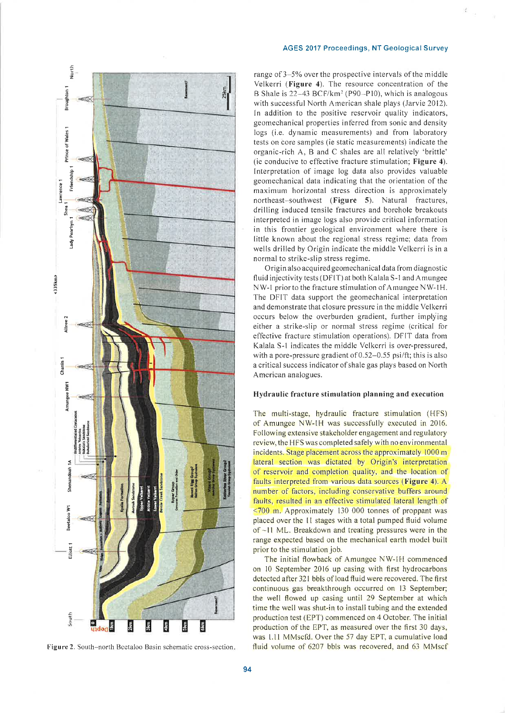

Figure 2. South-north Beetaloo Basin schematic cross-section.

range of 3-5% over the prospective intervals of the middle Velkerri (Figure 4). The resource concentration of the B Shale is 22-43 BCF/km<sup>2</sup> (P90-P10), which is analogous with successful North American shale plays (Jarvie 2012). In addition to the positive reservoir quality indicators, geomechanical properties inferred from sonic and density logs (i.e. dynamic measurements) and from laboratory tests on core samples (ie static measurements) indicate the organic-rich A, B and C shales are all relatively 'brittle' (ie conducive to effective fracture stimulation; Figure 4). Interpretation of image log data also provides valuable geomechanical data indicating that the orientation of the maximum horizontal stress direction is approximately northeast-southwest (Figure 5). Natural fractures, drilling induced tensile fractures and borehole breakouts interpreted in image logs also provide critical information in this frontier geological environment where there is little known about the regional stress regime; data from wells drilled by Origin indicate the middle Velkerri is in a normal to strike-slip stress regime.

Origin also acquired geomechanical data from diagnostic fluid injectivity tests (DFIT) at both Kalala S-1 and Amungee NW-1 prior to the fracture stimulation of Amungee NW-1H. The DFIT data support the geomechanical interpretation and demonstrate that closure pressure in the middle Velkerri occurs below the overburden gradient, further implying either a strike-slip or normal stress regime (critical for effective fracture stimulation operations). DFIT data from Kalala S-1 indicates the middle Velkerri is over-pressured, with a pore-pressure gradient of  $0.52-0.55$  psi/ft; this is also a critical success indicator of shale gas plays based on North American analogues.

#### Hydraulic fracture stimulation planning and execution

The multi-stage, hydraulic fracture stimulation (HFS) of Amungee NW-IH was successfully executed in 2016. Following extensive stakeholder engagement and regulatory review, the HFS was completed safely with no environmental incidents. Stage placement across the approximately 1000 m lateral section was dictated by Origin's interpretation of reservoir and completion quality, and the location of faults interpreted from various data sources (Figure 4). A number of factors, including conservative buffers around faults, resulted in an effective stimulated lateral length of  $\leq$ 700 m. Approximately 130 000 tonnes of proppant was placed over the 11 stages with a total pumped fluid volume of ~11 ML. Breakdown and treating pressures were in the range expected based on the mechanical earth model built prior to the stimulation job.

The initial flowback of Amungee NW-1H commenced on 10 September 2016 up casing with first hydrocarbons detected after 321 bbls of load fluid were recovered. The first continuous gas breakthrough occurred on 13 September; the well flowed up casing until 29 September at which time the well was shut-in to install tubing and the extended production test (EPT) commenced on 4 October. The initial production of the EPT, as measured over the first 30 days, was 1.11 MMscfd. Over the 57 day EPT, a cumulative load fluid volume of 6207 bbls was recovered, and 63 MMscf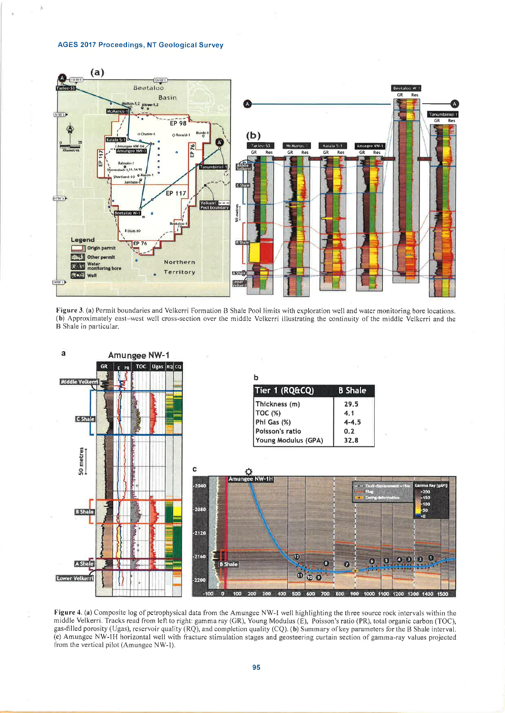





Figure 4. (a) Composite log of petrophysical data from the Amungee NW-1 well highlighting the three source rock intervals within the middle Velkerri. Tracks read from left to right: gamma ray (GR), Young Modulus (E), Poisson's ratio (PR), total organic carbon (TOC), gas-filled porosity (Ugas), reservoir quality (RQ), and completion quality (CQ). (b) Summary of key parameters for the B Shale interval. (c) Amungee NW-1H horizontal well with fracture stimulation stages and geosteering curtain section of gamma-ray values projected from the vertical pilot (Amungee NW-1).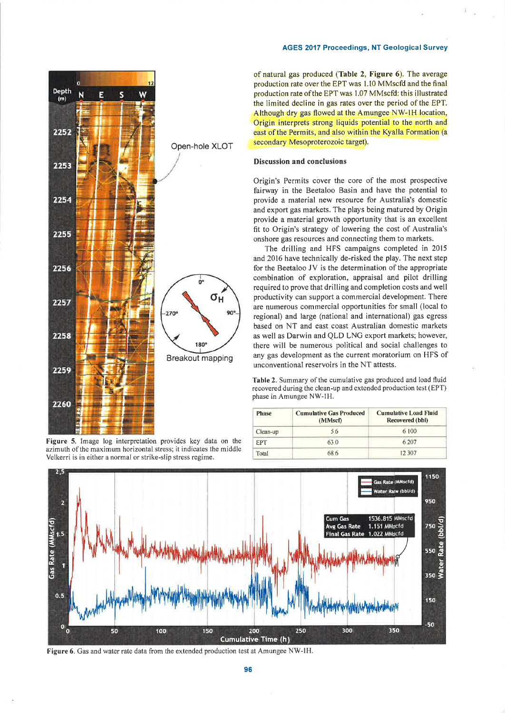

Figure 5. Image log interpretation provides key data on the azimuth of the maximum horizontal stress; it indicates the middle Velkerri is in either a normal or strike-slip stress regime.

of natural gas produced (Table 2, Figure 6). The average production rate over the EPT was 1.10 MMscfd and the final production rate ofthe EPT was 1.07 MMscfd: this illustrated the limited decline in gas rates over the period of the EPT. Although dry gas flowed at the Amungee NW-lH location, Origin interprets strong liquids potential to the north and east of the Permits, and also within the Kyalla Formation (a secondary Mesoproterozoic target).

## Discussion and conclusions

Origin's Permits cover the core of the most prospective fairway in the Beetaloo Basin and have the potential to provide a material new resource for Australia's domestic and export gas markets. The plays being matured by Origin provide a material growth opportunity that is an excellent fit to Origin's strategy of lowering the cost of Australia's onshore gas resources and connecting them to markets.

The drilling and HFS campaigns completed in <sup>2015</sup> and 2016 have technically de-risked the play. The next step for the Beetaloo JV is the determination of the appropriate combination of exploration, appraisal and pilot drilling required to prove that drilling and completion costs and well productivity can support a commercial development. There are numerous commercial opportunities for small (local to regional) and large (national and international) gas egress based on NT and east coast Australian domestic markets as well as Darwin and QLD LNG export markets; however, there will be numerous political and social challenges to any gas development as the current moratorium on HFS of unconventional reservoirs in the NT attests.

Table 2. Summary of the cumulative gas produced and load fluid recovered during the clean-up and extended production test (EPT) phase in Amungee NW-lH.

| <b>Phase</b> | <b>Cumulative Gas Produced</b><br>(MMscf) | <b>Cumulative Load Fluid</b><br>Recovered (bbl) |
|--------------|-------------------------------------------|-------------------------------------------------|
| Clean-up     | 5.6                                       | 6 100                                           |
| <b>FPT</b>   | 63.0                                      | 6.207                                           |
| Total        | 68.6                                      | 12 3 0 7                                        |



Figure 6. Gas and water rate data from the extended production test at Amungee NW-lH.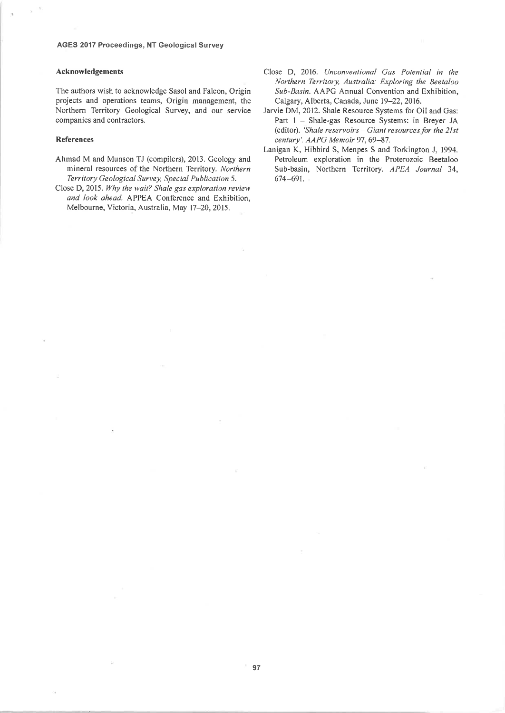### Acknowledgements

The authors wish to acknowledge Sasol and Falcon, Origin projects and operations teams, Origin management, the Northern Territory Geological Survey, and our service companies and contractors.

#### References

- Ahmad M and Munson TJ (compilers), 2013. Geology and mineral resources of the Northern Territory. Northern Territory Geological Survey, Special Publication 5.
- Close D, 2015. Why the wait? Shale gas exploration review and look ahead. APPEA Conference and Exhibition, Melbourne, Victoria, Australia, May 17-20, 2015.
- Close D, 2016. Unconventional Gas Potential in the Northern Territory, Australia: Exploring the Beetaloo Sub-Basin. AAPG Annual Convention and Exhibition, Calgary, Alberta, Canada, June 19-22, 2016.
- Jarvie DM, 2012. Shale Resource Systems for Oil and Gas: Part 1 - Shale-gas Resource Systems: in Breyer JA (editor). 'Shale reservoirs  $-$  Giant resources for the 21st century'. AAPG Memoir 97, 69-87.
- Lanigan K, Hibbird S, Menpes S and Torkington J, 1994. Petroleum exploration in the Proterozoic Beetaloo Sub-basin, Northern Territory. APEA Journal 34, 674-691.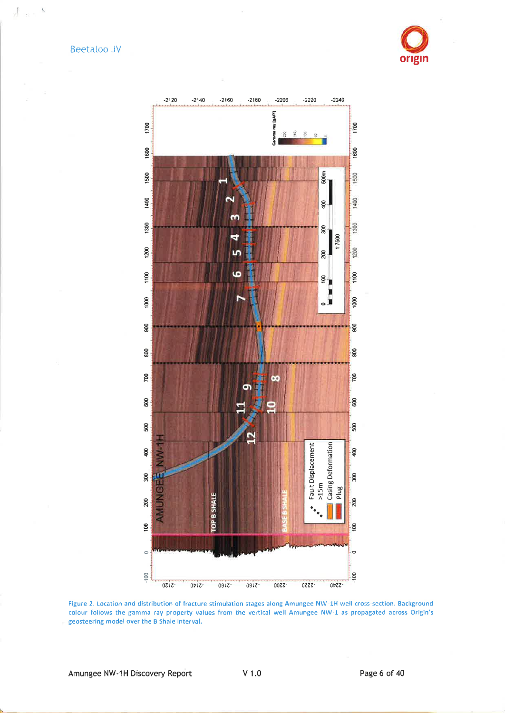Beetaloo JV

 $\int_{\mathbb{R}^3} |u(x)|^2 dx$ 





Figure 2. Location and distribution of fracture stimulation stages along Amungee NW-1H well cross-section. Background colour follows the gamma ray property values from the vertical well Amungee NW-1 as propagated across Origin's geosteering model over the B Shale interval.

Page 6 of 40